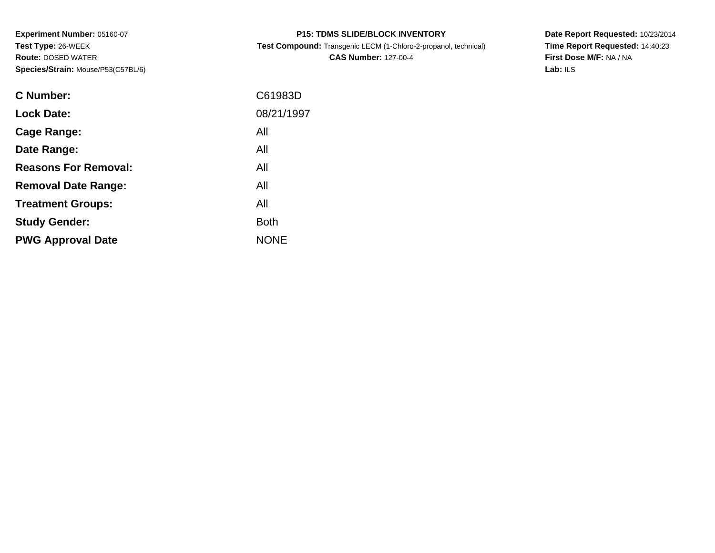**Experiment Number:** 05160-07**Test Type:** 26-WEEK **Route:** DOSED WATER**Species/Strain:** Mouse/P53(C57BL/6)

| <b>P15: TDMS SLIDE/BLOCK INVENTORY</b> |  |
|----------------------------------------|--|
|----------------------------------------|--|

**Test Compound:** Transgenic LECM (1-Chloro-2-propanol, technical)

**CAS Number:** 127-00-4

**Date Report Requested:** 10/23/2014 **Time Report Requested:** 14:40:23**First Dose M/F:** NA / NA**Lab:** ILS

| C Number:                   | C61983D     |
|-----------------------------|-------------|
| <b>Lock Date:</b>           | 08/21/1997  |
| Cage Range:                 | All         |
| Date Range:                 | All         |
| <b>Reasons For Removal:</b> | All         |
| <b>Removal Date Range:</b>  | All         |
| <b>Treatment Groups:</b>    | All         |
| <b>Study Gender:</b>        | <b>Both</b> |
| <b>PWG Approval Date</b>    | <b>NONE</b> |
|                             |             |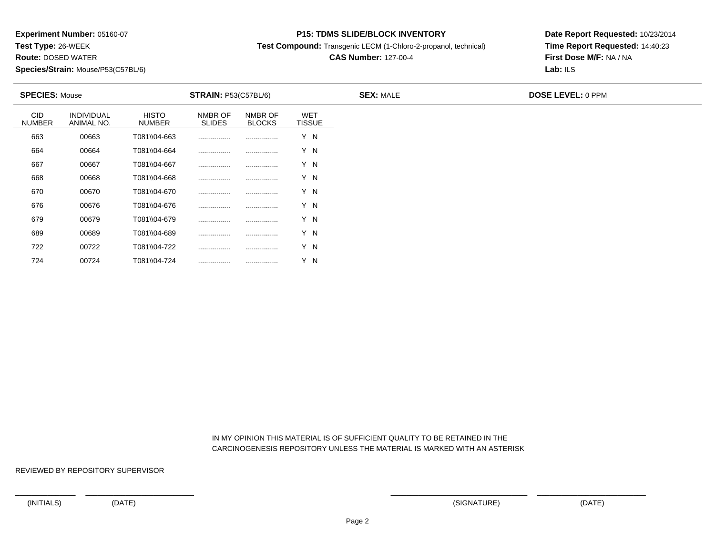**Test Type:** 26-WEEK

**Route:** DOSED WATER

**Species/Strain:** Mouse/P53(C57BL/6)

### **P15: TDMS SLIDE/BLOCK INVENTORY**

**Test Compound:** Transgenic LECM (1-Chloro-2-propanol, technical)

# **CAS Number:** 127-00-4

**Date Report Requested:** 10/23/2014**Time Report Requested:** 14:40:23**First Dose M/F:** NA / NA**Lab:** ILS

| <b>SPECIES: Mouse</b>       |                          |                        | <b>STRAIN: P53(C57BL/6)</b> |                          |                             | <b>SEX: MALE</b> | <b>DOSE LEVEL: 0 PPM</b> |
|-----------------------------|--------------------------|------------------------|-----------------------------|--------------------------|-----------------------------|------------------|--------------------------|
| <b>CID</b><br><b>NUMBER</b> | INDIVIDUAL<br>ANIMAL NO. | <b>HISTO</b><br>NUMBER | NMBR OF<br><b>SLIDES</b>    | NMBR OF<br><b>BLOCKS</b> | <b>WET</b><br><b>TISSUE</b> |                  |                          |
| 663                         | 00663                    | T081\\04-663           |                             |                          | Y N                         |                  |                          |
| 664                         | 00664                    | T081\\04-664           |                             |                          | Y N                         |                  |                          |
| 667                         | 00667                    | T081\\04-667           |                             |                          | Y N                         |                  |                          |
| 668                         | 00668                    | T081\\04-668           |                             |                          | Y N                         |                  |                          |
| 670                         | 00670                    | T081\\04-670           |                             |                          | Y N                         |                  |                          |
| 676                         | 00676                    | T081\\04-676           |                             |                          | Y N                         |                  |                          |
| 679                         | 00679                    | T081\\04-679           |                             |                          | Y N                         |                  |                          |
| 689                         | 00689                    | T081\\04-689           |                             |                          | Y N                         |                  |                          |
| 722                         | 00722                    | T081\\04-722           |                             |                          | Y N                         |                  |                          |
| 724                         | 00724                    | T081\\04-724           |                             |                          | Y N                         |                  |                          |

 IN MY OPINION THIS MATERIAL IS OF SUFFICIENT QUALITY TO BE RETAINED IN THECARCINOGENESIS REPOSITORY UNLESS THE MATERIAL IS MARKED WITH AN ASTERISK

REVIEWED BY REPOSITORY SUPERVISOR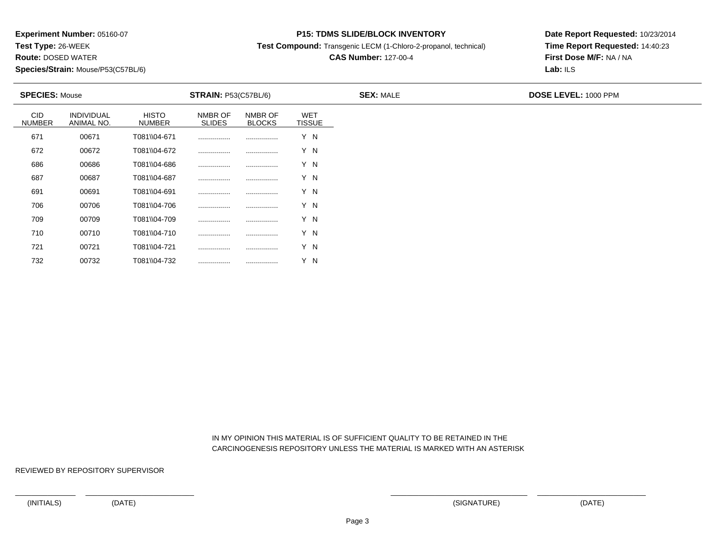**Test Type:** 26-WEEK

**Route:** DOSED WATER

**Species/Strain:** Mouse/P53(C57BL/6)

### **P15: TDMS SLIDE/BLOCK INVENTORY**

**Test Compound:** Transgenic LECM (1-Chloro-2-propanol, technical)

# **CAS Number:** 127-00-4

**Date Report Requested:** 10/23/2014**Time Report Requested:** 14:40:23**First Dose M/F:** NA / NA**Lab:** ILS

| <b>SPECIES: Mouse</b>       |                                 |                               | <b>STRAIN: P53(C57BL/6)</b> |                          |                             | <b>SEX: MALE</b> | <b>DOSE LEVEL: 1000 PPM</b> |  |
|-----------------------------|---------------------------------|-------------------------------|-----------------------------|--------------------------|-----------------------------|------------------|-----------------------------|--|
| <b>CID</b><br><b>NUMBER</b> | <b>INDIVIDUAL</b><br>ANIMAL NO. | <b>HISTO</b><br><b>NUMBER</b> | NMBR OF<br><b>SLIDES</b>    | NMBR OF<br><b>BLOCKS</b> | <b>WET</b><br><b>TISSUE</b> |                  |                             |  |
| 671                         | 00671                           | T081\\04-671                  | .                           |                          | Y N                         |                  |                             |  |
| 672                         | 00672                           | T081\\04-672                  |                             |                          | Y N                         |                  |                             |  |
| 686                         | 00686                           | T081\\04-686                  |                             |                          | Y N                         |                  |                             |  |
| 687                         | 00687                           | T081\\04-687                  |                             |                          | Y N                         |                  |                             |  |
| 691                         | 00691                           | T081\\04-691                  |                             | .                        | Y N                         |                  |                             |  |
| 706                         | 00706                           | T081\\04-706                  |                             |                          | Y N                         |                  |                             |  |
| 709                         | 00709                           | T081\\04-709                  |                             |                          | Y N                         |                  |                             |  |
| 710                         | 00710                           | T081\\04-710                  |                             |                          | Y N                         |                  |                             |  |
| 721                         | 00721                           | T081\\04-721                  |                             |                          | Y N                         |                  |                             |  |

 IN MY OPINION THIS MATERIAL IS OF SUFFICIENT QUALITY TO BE RETAINED IN THECARCINOGENESIS REPOSITORY UNLESS THE MATERIAL IS MARKED WITH AN ASTERISK

REVIEWED BY REPOSITORY SUPERVISOR

732

<sup>00732</sup> T081\\04-732 ................ ................ Y N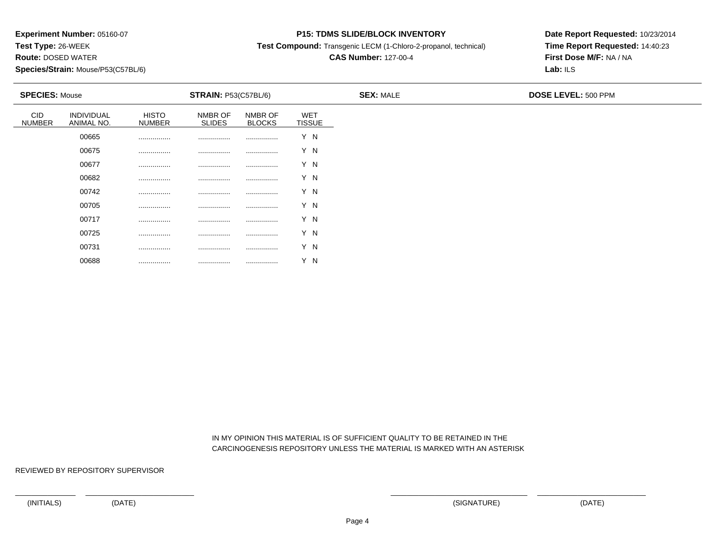**Test Type:** 26-WEEK

**Route:** DOSED WATER

**Species/Strain:** Mouse/P53(C57BL/6)

### **P15: TDMS SLIDE/BLOCK INVENTORY**

**Test Compound:** Transgenic LECM (1-Chloro-2-propanol, technical)

# **CAS Number:** 127-00-4

**Date Report Requested:** 10/23/2014**Time Report Requested:** 14:40:23**First Dose M/F:** NA / NA**Lab:** ILS

| <b>SPECIES: Mouse</b>       |                          |                        | <b>STRAIN: P53(C57BL/6)</b> |                          |                      |  |  |
|-----------------------------|--------------------------|------------------------|-----------------------------|--------------------------|----------------------|--|--|
| <b>CID</b><br><b>NUMBER</b> | INDIVIDUAL<br>ANIMAL NO. | <b>HISTO</b><br>NUMBER | NMBR OF<br><b>SLIDES</b>    | NMBR OF<br><b>BLOCKS</b> | WET<br><b>TISSUE</b> |  |  |
|                             | 00665                    |                        |                             |                          | Y N                  |  |  |
|                             | 00675                    |                        |                             |                          | Y N                  |  |  |
|                             | 00677                    |                        |                             |                          | Y N                  |  |  |
|                             | 00682                    |                        |                             |                          | Y N                  |  |  |
|                             | 00742                    |                        |                             |                          | Y N                  |  |  |
|                             | 00705                    |                        | .                           |                          | Y N                  |  |  |
|                             | 00717                    |                        |                             |                          | Y N                  |  |  |
|                             | 00725                    |                        | .                           |                          | Y N                  |  |  |
|                             | 00731                    |                        | .                           |                          | Y N                  |  |  |
|                             | 00688                    |                        |                             |                          | Y N                  |  |  |

 IN MY OPINION THIS MATERIAL IS OF SUFFICIENT QUALITY TO BE RETAINED IN THECARCINOGENESIS REPOSITORY UNLESS THE MATERIAL IS MARKED WITH AN ASTERISK

REVIEWED BY REPOSITORY SUPERVISOR

................ ................ ................ Y N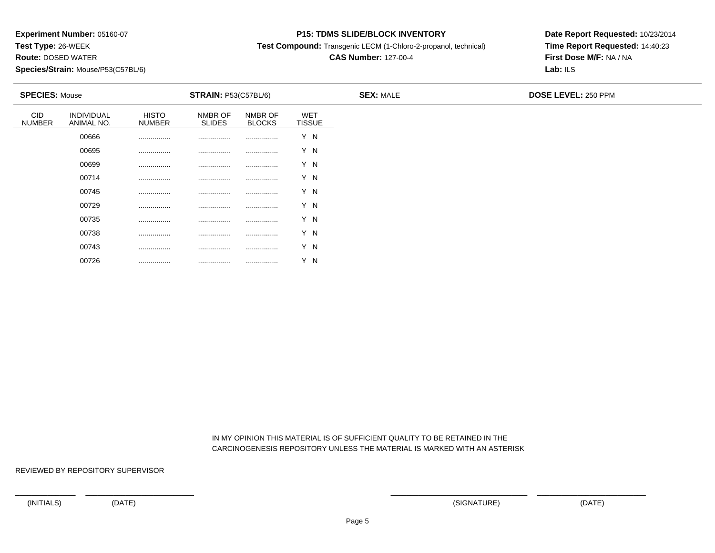**Test Type:** 26-WEEK

**Route:** DOSED WATER

**Species/Strain:** Mouse/P53(C57BL/6)

### **P15: TDMS SLIDE/BLOCK INVENTORY**

**Test Compound:** Transgenic LECM (1-Chloro-2-propanol, technical)

## **CAS Number:** 127-00-4

**Date Report Requested:** 10/23/2014**Time Report Requested:** 14:40:23**First Dose M/F:** NA / NA**Lab:** ILS

| <b>SPECIES: Mouse</b>       |                          |                               | <b>STRAIN: P53(C57BL/6)</b> |                          |                             | <b>SEX: MALE</b> | <b>DOSE LEVEL: 250 PPM</b> |  |  |
|-----------------------------|--------------------------|-------------------------------|-----------------------------|--------------------------|-----------------------------|------------------|----------------------------|--|--|
| <b>CID</b><br><b>NUMBER</b> | INDIVIDUAL<br>ANIMAL NO. | <b>HISTO</b><br><b>NUMBER</b> | NMBR OF<br><b>SLIDES</b>    | NMBR OF<br><b>BLOCKS</b> | <b>WET</b><br><b>TISSUE</b> |                  |                            |  |  |
|                             | 00666                    |                               |                             |                          | Y N                         |                  |                            |  |  |
|                             | 00695                    |                               |                             |                          | Y N                         |                  |                            |  |  |
|                             | 00699                    |                               |                             |                          | Y N                         |                  |                            |  |  |
|                             | 00714                    | .                             | .                           |                          | Y N                         |                  |                            |  |  |
|                             | 00745                    |                               |                             |                          | Y N                         |                  |                            |  |  |
|                             | 00729                    |                               |                             |                          | Y N                         |                  |                            |  |  |
|                             | 00735                    |                               |                             |                          | Y N                         |                  |                            |  |  |
|                             | 00738                    | .                             | .                           |                          | Y N                         |                  |                            |  |  |
|                             | 00743                    |                               |                             |                          | Y N                         |                  |                            |  |  |
|                             | 00726                    |                               |                             |                          | Y N                         |                  |                            |  |  |

 IN MY OPINION THIS MATERIAL IS OF SUFFICIENT QUALITY TO BE RETAINED IN THECARCINOGENESIS REPOSITORY UNLESS THE MATERIAL IS MARKED WITH AN ASTERISK

REVIEWED BY REPOSITORY SUPERVISOR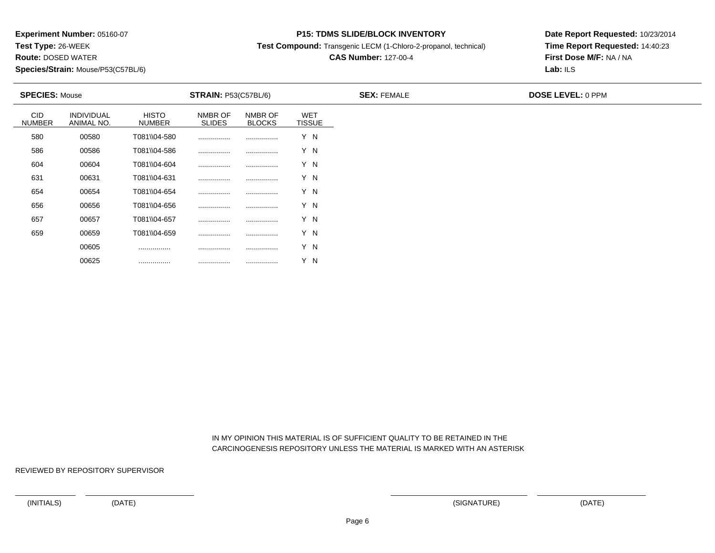**Test Type:** 26-WEEK

**Route:** DOSED WATER

**Species/Strain:** Mouse/P53(C57BL/6)

### **P15: TDMS SLIDE/BLOCK INVENTORY**

**Test Compound:** Transgenic LECM (1-Chloro-2-propanol, technical)

# **CAS Number:** 127-00-4

**Date Report Requested:** 10/23/2014**Time Report Requested:** 14:40:23**First Dose M/F:** NA / NA**Lab:** ILS

| <b>SPECIES: Mouse</b>       |                                 |                        | <b>STRAIN: P53(C57BL/6)</b> |                          |                             | <b>SEX: FEMALE</b> | DOSE LEVEL: 0 PPM |
|-----------------------------|---------------------------------|------------------------|-----------------------------|--------------------------|-----------------------------|--------------------|-------------------|
| <b>CID</b><br><b>NUMBER</b> | <b>INDIVIDUAL</b><br>ANIMAL NO. | <b>HISTO</b><br>NUMBER | NMBR OF<br><b>SLIDES</b>    | NMBR OF<br><b>BLOCKS</b> | <b>WET</b><br><b>TISSUE</b> |                    |                   |
| 580                         | 00580                           | T081\\04-580           |                             |                          | Y N                         |                    |                   |
| 586                         | 00586                           | T081\\04-586           |                             |                          | Y N                         |                    |                   |
| 604                         | 00604                           | T081\\04-604           |                             |                          | Y N                         |                    |                   |
| 631                         | 00631                           | T081\\04-631           |                             |                          | Y N                         |                    |                   |
| 654                         | 00654                           | T081\\04-654           |                             |                          | Y N                         |                    |                   |
| 656                         | 00656                           | T081\\04-656           |                             |                          | Y N                         |                    |                   |
| 657                         | 00657                           | T081\\04-657           |                             |                          | Y N                         |                    |                   |
| 659                         | 00659                           | T081\\04-659           |                             |                          | Y N                         |                    |                   |
|                             | 00605                           |                        |                             |                          | Y N                         |                    |                   |

 IN MY OPINION THIS MATERIAL IS OF SUFFICIENT QUALITY TO BE RETAINED IN THECARCINOGENESIS REPOSITORY UNLESS THE MATERIAL IS MARKED WITH AN ASTERISK

REVIEWED BY REPOSITORY SUPERVISOR

00625

................ ................ ................ Y N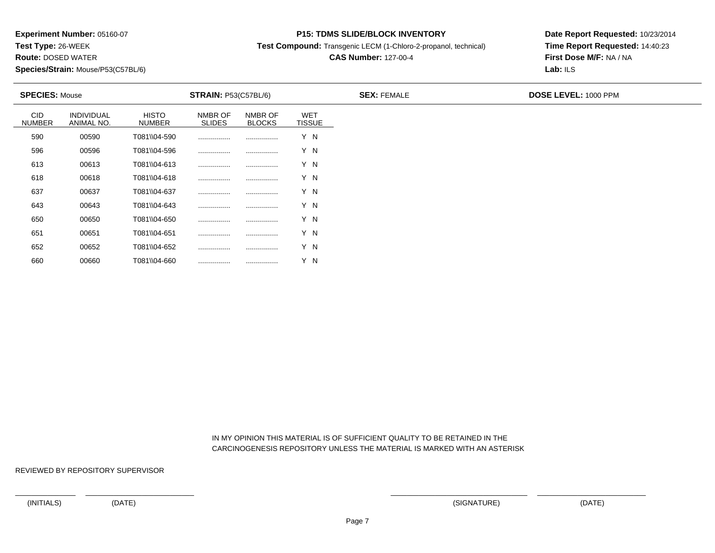**Test Type:** 26-WEEK

**Route:** DOSED WATER

**Species/Strain:** Mouse/P53(C57BL/6)

### **P15: TDMS SLIDE/BLOCK INVENTORY**

**Test Compound:** Transgenic LECM (1-Chloro-2-propanol, technical)

# **CAS Number:** 127-00-4

**Date Report Requested:** 10/23/2014**Time Report Requested:** 14:40:23**First Dose M/F:** NA / NA**Lab:** ILS

| <b>SPECIES: Mouse</b>       |                                 |                               | <b>STRAIN: P53(C57BL/6)</b> |                          |                             | <b>SEX: FEMALE</b> | <b>DOSE LEVEL: 1000 PPM</b> |
|-----------------------------|---------------------------------|-------------------------------|-----------------------------|--------------------------|-----------------------------|--------------------|-----------------------------|
| <b>CID</b><br><b>NUMBER</b> | <b>INDIVIDUAL</b><br>ANIMAL NO. | <b>HISTO</b><br><b>NUMBER</b> | NMBR OF<br><b>SLIDES</b>    | NMBR OF<br><b>BLOCKS</b> | <b>WET</b><br><b>TISSUE</b> |                    |                             |
| 590                         | 00590                           | T081\\04-590                  |                             |                          | Y N                         |                    |                             |
| 596                         | 00596                           | T081\\04-596                  |                             |                          | Y N                         |                    |                             |
| 613                         | 00613                           | T081\\04-613                  |                             |                          | Y N                         |                    |                             |
| 618                         | 00618                           | T081\\04-618                  |                             |                          | Y N                         |                    |                             |
| 637                         | 00637                           | T081\\04-637                  |                             |                          | Y N                         |                    |                             |
| 643                         | 00643                           | T081\\04-643                  |                             |                          | Y N                         |                    |                             |
| 650                         | 00650                           | T081\\04-650                  |                             |                          | Y N                         |                    |                             |
| 651                         | 00651                           | T081\\04-651                  |                             |                          | Y N                         |                    |                             |
| 652                         | 00652                           | T081\\04-652                  |                             |                          | Y N                         |                    |                             |

 IN MY OPINION THIS MATERIAL IS OF SUFFICIENT QUALITY TO BE RETAINED IN THECARCINOGENESIS REPOSITORY UNLESS THE MATERIAL IS MARKED WITH AN ASTERISK

REVIEWED BY REPOSITORY SUPERVISOR

660

<sup>00660</sup> T081\\04-660 ................ ................ Y N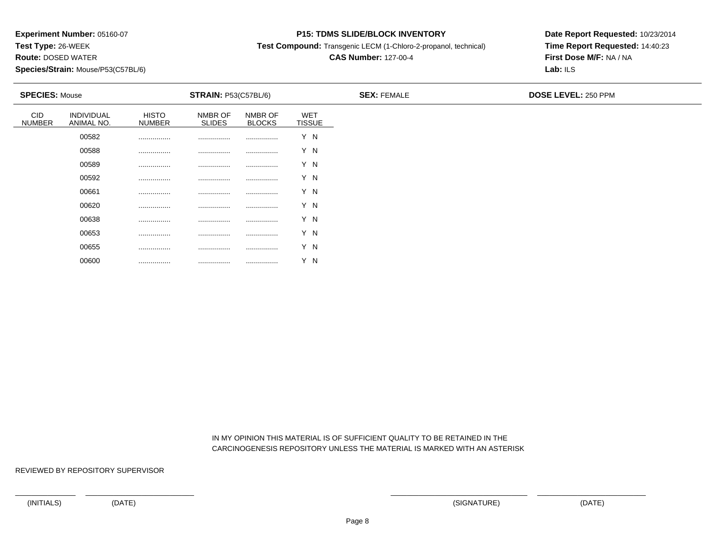**Test Type:** 26-WEEK

**Route:** DOSED WATER

**Species/Strain:** Mouse/P53(C57BL/6)

### **P15: TDMS SLIDE/BLOCK INVENTORY**

**Test Compound:** Transgenic LECM (1-Chloro-2-propanol, technical)

## **CAS Number:** 127-00-4

**Date Report Requested:** 10/23/2014**Time Report Requested:** 14:40:23**First Dose M/F:** NA / NA**Lab:** ILS

| <b>SPECIES: Mouse</b> |                          |                        | <b>STRAIN: P53(C57BL/6)</b> |                          |                      | <b>SEX: FEMALE</b> | <b>DOSE LEVEL: 250 PPM</b> |
|-----------------------|--------------------------|------------------------|-----------------------------|--------------------------|----------------------|--------------------|----------------------------|
| CID<br>NUMBER         | INDIVIDUAL<br>ANIMAL NO. | HISTO<br><b>NUMBER</b> | NMBR OF<br><b>SLIDES</b>    | NMBR OF<br><b>BLOCKS</b> | WET<br><b>TISSUE</b> |                    |                            |
|                       | 00582                    |                        |                             |                          | Y N                  |                    |                            |
|                       | 00588                    |                        |                             |                          | Y N                  |                    |                            |
|                       | 00589                    | .                      |                             |                          | Y N                  |                    |                            |
|                       | 00592                    | .                      | .                           |                          | Y N                  |                    |                            |
|                       | 00661                    |                        |                             |                          | Y N                  |                    |                            |
|                       | 00620                    | .                      | .                           |                          | Y N                  |                    |                            |
|                       | 00638                    | .                      | .                           | .                        | Y N                  |                    |                            |
|                       | 00653                    |                        |                             |                          | Y N                  |                    |                            |
|                       | 00655                    |                        | .                           |                          | Y N                  |                    |                            |
|                       | 00600                    |                        |                             |                          | Y N                  |                    |                            |

 IN MY OPINION THIS MATERIAL IS OF SUFFICIENT QUALITY TO BE RETAINED IN THECARCINOGENESIS REPOSITORY UNLESS THE MATERIAL IS MARKED WITH AN ASTERISK

REVIEWED BY REPOSITORY SUPERVISOR